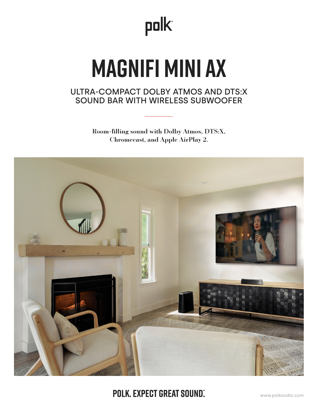

# **MAGNIFI MINI AX**

## ULTRA-COMPACT DOLBY ATMOS AND DTS:X SOUND BAR WITH WIRELESS SUBWOOFER

Room-filling sound with Dolby Atmos, DTS:X, Chromecast, and Apple AirPlay 2.



**POLK, EXPECT GREAT SOUND.**